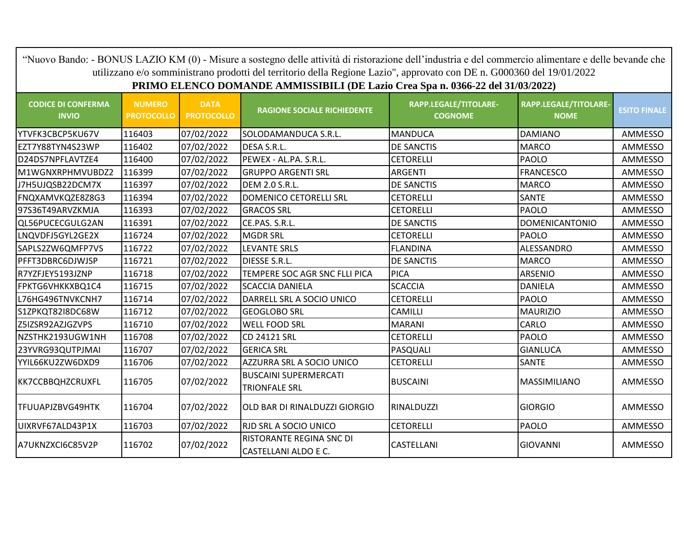|                                           |                                    |                                  | "Nuovo Bando: - BONUS LAZIO KM (0) - Misure a sostegno delle attività di ristorazione dell'industria e del commercio alimentare e delle bevande che<br>utilizzano e/o somministrano prodotti del territorio della Regione Lazio", approvato con DE n. G000360 del 19/01/2022 |                                         |                                      |                     |
|-------------------------------------------|------------------------------------|----------------------------------|------------------------------------------------------------------------------------------------------------------------------------------------------------------------------------------------------------------------------------------------------------------------------|-----------------------------------------|--------------------------------------|---------------------|
|                                           |                                    |                                  | PRIMO ELENCO DOMANDE AMMISSIBILI (DE Lazio Crea Spa n. 0366-22 del 31/03/2022)                                                                                                                                                                                               |                                         |                                      |                     |
| <b>CODICE DI CONFERMA</b><br><b>INVIO</b> | <b>NUMERO</b><br><b>PROTOCOLLO</b> | <b>DATA</b><br><b>PROTOCOLLO</b> | <b>RAGIONE SOCIALE RICHIEDENTE</b>                                                                                                                                                                                                                                           | RAPP.LEGALE/TITOLARE-<br><b>COGNOME</b> | RAPP.LEGALE/TITOLARE-<br><b>NOME</b> | <b>ESITO FINALE</b> |
| YTVFK3CBCP5KU67V                          | 116403                             | 07/02/2022                       | SOLODAMANDUCA S.R.L.                                                                                                                                                                                                                                                         | <b>MANDUCA</b>                          | <b>DAMIANO</b>                       | AMMESSO             |
| EZT7Y88TYN4S23WP                          | 116402                             | 07/02/2022                       | DESA S.R.L.                                                                                                                                                                                                                                                                  | <b>DE SANCTIS</b>                       | <b>MARCO</b>                         | AMMESSO             |
| D24DS7NPFLAVTZE4                          | 116400                             | 07/02/2022                       | PEWEX - AL.PA. S.R.L.                                                                                                                                                                                                                                                        | <b>CETORELLI</b>                        | <b>PAOLO</b>                         | AMMESSO             |
| M1WGNXRPHMVUBDZ2                          | 116399                             | 07/02/2022                       | <b>GRUPPO ARGENTI SRL</b>                                                                                                                                                                                                                                                    | <b>ARGENTI</b>                          | <b>FRANCESCO</b>                     | AMMESSO             |
| J7H5UJQSB22DCM7X                          | 116397                             | 07/02/2022                       | DEM 2.0 S.R.L.                                                                                                                                                                                                                                                               | <b>DE SANCTIS</b>                       | <b>MARCO</b>                         | AMMESSO             |
| FNQXAMVKQZE8Z8G3                          | 116394                             | 07/02/2022                       | <b>DOMENICO CETORELLI SRL</b>                                                                                                                                                                                                                                                | <b>CETORELLI</b>                        | <b>SANTE</b>                         | AMMESSO             |
| 97S36T49ARVZKMJA                          | 116393                             | 07/02/2022                       | <b>GRACOS SRL</b>                                                                                                                                                                                                                                                            | <b>CETORELLI</b>                        | PAOLO                                | AMMESSO             |
| QL56PUCECGULG2AN                          | 116391                             | 07/02/2022                       | CE.PAS. S.R.L.                                                                                                                                                                                                                                                               | <b>DE SANCTIS</b>                       | <b>DOMENICANTONIO</b>                | AMMESSO             |
| LNQVDFJ5GYL2GE2X                          | 116724                             | 07/02/2022                       | <b>MGDR SRL</b>                                                                                                                                                                                                                                                              | <b>CETORELLI</b>                        | <b>PAOLO</b>                         | AMMESSO             |
| SAPLS2ZW6QMFP7VS                          | 116722                             | 07/02/2022                       | <b>LEVANTE SRLS</b>                                                                                                                                                                                                                                                          | <b>FLANDINA</b>                         | ALESSANDRO                           | AMMESSO             |
| PFFT3DBRC6DJWJSP                          | 116721                             | 07/02/2022                       | DIESSE S.R.L.                                                                                                                                                                                                                                                                | <b>DE SANCTIS</b>                       | <b>MARCO</b>                         | AMMESSO             |
| R7YZFJEY5193JZNP                          | 116718                             | 07/02/2022                       | TEMPERE SOC AGR SNC FLLI PICA                                                                                                                                                                                                                                                | <b>PICA</b>                             | ARSENIO                              | AMMESSO             |
| FPKTG6VHKKXBQ1C4                          | 116715                             | 07/02/2022                       | <b>SCACCIA DANIELA</b>                                                                                                                                                                                                                                                       | <b>SCACCIA</b>                          | <b>DANIELA</b>                       | AMMESSO             |
| L76HG496TNVKCNH7                          | 116714                             | 07/02/2022                       | DARRELL SRL A SOCIO UNICO                                                                                                                                                                                                                                                    | <b>CETORELLI</b>                        | PAOLO                                | AMMESSO             |
| S1ZPKQT82I8DC68W                          | 116712                             | 07/02/2022                       | <b>GEOGLOBO SRL</b>                                                                                                                                                                                                                                                          | CAMILLI                                 | MAURIZIO                             | AMMESSO             |
| Z5IZSR92AZJGZVPS                          | 116710                             | 07/02/2022                       | <b>WELL FOOD SRL</b>                                                                                                                                                                                                                                                         | <b>MARANI</b>                           | <b>CARLO</b>                         | AMMESSO             |
| NZSTHK2193UGW1NH                          | 116708                             | 07/02/2022                       | <b>CD 24121 SRL</b>                                                                                                                                                                                                                                                          | <b>CETORELLI</b>                        | PAOLO                                | AMMESSO             |
| 23YVRG93QUTPJMAI                          | 116707                             | 07/02/2022                       | <b>GERICA SRL</b>                                                                                                                                                                                                                                                            | PASQUALI                                | <b>GIANLUCA</b>                      | AMMESSO             |
| YYIL66KU2ZW6DXD9                          | 116706                             | 07/02/2022                       | AZZURRA SRL A SOCIO UNICO                                                                                                                                                                                                                                                    | <b>CETORELLI</b>                        | SANTE                                | AMMESSO             |
| KK7CCBBQHZCRUXFL                          | 116705                             | 07/02/2022                       | <b>BUSCAINI SUPERMERCATI</b><br><b>TRIONFALE SRL</b>                                                                                                                                                                                                                         | <b>BUSCAINI</b>                         | <b>MASSIMILIANO</b>                  | AMMESSO             |
| TFUUAPJZBVG49HTK                          | 116704                             | 07/02/2022                       | OLD BAR DI RINALDUZZI GIORGIO                                                                                                                                                                                                                                                | <b>RINALDUZZI</b>                       | <b>GIORGIO</b>                       | AMMESSO             |
| UIXRVF67ALD43P1X                          | 116703                             | 07/02/2022                       | <b>RJD SRL A SOCIO UNICO</b>                                                                                                                                                                                                                                                 | <b>CETORELLI</b>                        | <b>PAOLO</b>                         | AMMESSO             |
| A7UKNZXCI6C85V2P                          | 116702                             | 07/02/2022                       | RISTORANTE REGINA SNC DI<br><b>CASTELLANI ALDO E C.</b>                                                                                                                                                                                                                      | CASTELLANI                              | <b>GIOVANNI</b>                      | AMMESSO             |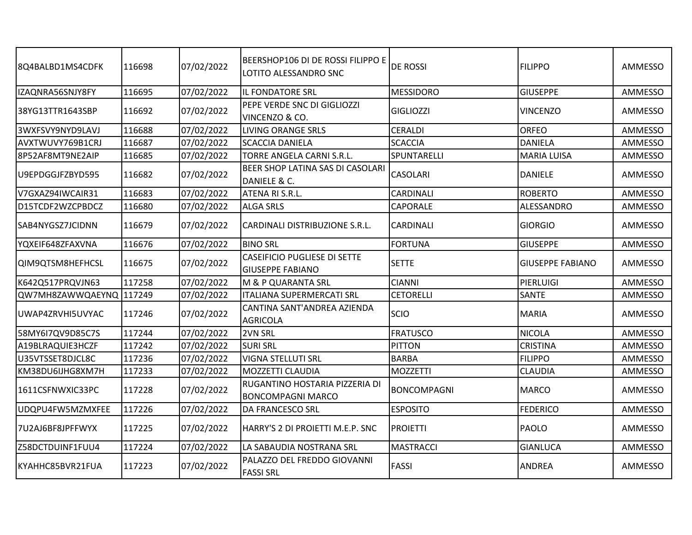| 8Q4BALBD1MS4CDFK        | 116698 | 07/02/2022 | BEERSHOP106 DI DE ROSSI FILIPPO E<br>LOTITO ALESSANDRO SNC     | <b>DE ROSSI</b>  | <b>FILIPPO</b>          | AMMESSO |
|-------------------------|--------|------------|----------------------------------------------------------------|------------------|-------------------------|---------|
| IZAQNRA56SNJY8FY        | 116695 | 07/02/2022 | IL FONDATORE SRL                                               | <b>MESSIDORO</b> | <b>GIUSEPPE</b>         | AMMESSO |
| 38YG13TTR1643SBP        | 116692 | 07/02/2022 | PEPE VERDE SNC DI GIGLIOZZI<br>VINCENZO & CO.                  | GIGLIOZZI        | <b>VINCENZO</b>         | AMMESSO |
| 3WXFSVY9NYD9LAVJ        | 116688 | 07/02/2022 | <b>LIVING ORANGE SRLS</b>                                      | <b>CERALDI</b>   | <b>ORFEO</b>            | AMMESSO |
| AVXTWUVY769B1CRJ        | 116687 | 07/02/2022 | <b>SCACCIA DANIELA</b>                                         | <b>SCACCIA</b>   | <b>DANIELA</b>          | AMMESSO |
| 8P52AF8MT9NE2AIP        | 116685 | 07/02/2022 | TORRE ANGELA CARNI S.R.L.                                      | SPUNTARELLI      | <b>MARIA LUISA</b>      | AMMESSO |
| U9EPDGGJFZBYD595        | 116682 | 07/02/2022 | BEER SHOP LATINA SAS DI CASOLARI<br>DANIELE & C.               | <b>CASOLARI</b>  | <b>DANIELE</b>          | AMMESSO |
| V7GXAZ94IWCAIR31        | 116683 | 07/02/2022 | ATENA RI S.R.L.                                                | CARDINALI        | <b>ROBERTO</b>          | AMMESSO |
| D15TCDF2WZCPBDCZ        | 116680 | 07/02/2022 | <b>ALGA SRLS</b>                                               | CAPORALE         | ALESSANDRO              | AMMESSO |
| SAB4NYGSZ7JCIDNN        | 116679 | 07/02/2022 | CARDINALI DISTRIBUZIONE S.R.L.                                 | CARDINALI        | <b>GIORGIO</b>          | AMMESSO |
| YQXEIF648ZFAXVNA        | 116676 | 07/02/2022 | <b>BINO SRL</b>                                                | <b>FORTUNA</b>   | <b>GIUSEPPE</b>         | AMMESSO |
| QIM9QTSM8HEFHCSL        | 116675 | 07/02/2022 | <b>CASEIFICIO PUGLIESE DI SETTE</b><br><b>GIUSEPPE FABIANO</b> | <b>SETTE</b>     | <b>GIUSEPPE FABIANO</b> | AMMESSO |
| K642Q517PRQVJN63        | 117258 | 07/02/2022 | M & P QUARANTA SRL                                             | <b>CIANNI</b>    | PIERLUIGI               | AMMESSO |
| QW7MH8ZAWWQAEYNQ 117249 |        | 07/02/2022 | <b>ITALIANA SUPERMERCATI SRL</b>                               | <b>CETORELLI</b> | SANTE                   | AMMESSO |
| UWAP4ZRVHI5UVYAC        | 117246 | 07/02/2022 | CANTINA SANT'ANDREA AZIENDA<br><b>AGRICOLA</b>                 | SCIO             | <b>MARIA</b>            | AMMESSO |
| 58MY6I7QV9D85C7S        | 117244 | 07/02/2022 | 2VN SRL                                                        | <b>FRATUSCO</b>  | <b>NICOLA</b>           | AMMESSO |
| A19BLRAQUIE3HCZF        | 117242 | 07/02/2022 | <b>SURI SRL</b>                                                | PITTON           | <b>CRISTINA</b>         | AMMESSO |
| U35VTSSET8DJCL8C        | 117236 | 07/02/2022 | <b>VIGNA STELLUTI SRL</b>                                      | <b>BARBA</b>     | <b>FILIPPO</b>          | AMMESSO |
| KM38DU6IJHG8XM7H        | 117233 | 07/02/2022 | MOZZETTI CLAUDIA                                               | <b>MOZZETTI</b>  | <b>CLAUDIA</b>          | AMMESSO |
| 1611CSFNWXIC33PC        | 117228 | 07/02/2022 | RUGANTINO HOSTARIA PIZZERIA DI<br><b>BONCOMPAGNI MARCO</b>     | BONCOMPAGNI      | <b>MARCO</b>            | AMMESSO |
| UDQPU4FW5MZMXFEE        | 117226 | 07/02/2022 | <b>DA FRANCESCO SRL</b>                                        | <b>ESPOSITO</b>  | <b>FEDERICO</b>         | AMMESSO |
| 7U2AJ6BF8JPFFWYX        | 117225 | 07/02/2022 | HARRY'S 2 DI PROIETTI M.E.P. SNC                               | PROIETTI         | PAOLO                   | AMMESSO |
| Z58DCTDUINF1FUU4        | 117224 | 07/02/2022 | LA SABAUDIA NOSTRANA SRL                                       | <b>MASTRACCI</b> | <b>GIANLUCA</b>         | AMMESSO |
| KYAHHC85BVR21FUA        | 117223 | 07/02/2022 | PALAZZO DEL FREDDO GIOVANNI<br><b>FASSI SRL</b>                | <b>FASSI</b>     | <b>ANDREA</b>           | AMMESSO |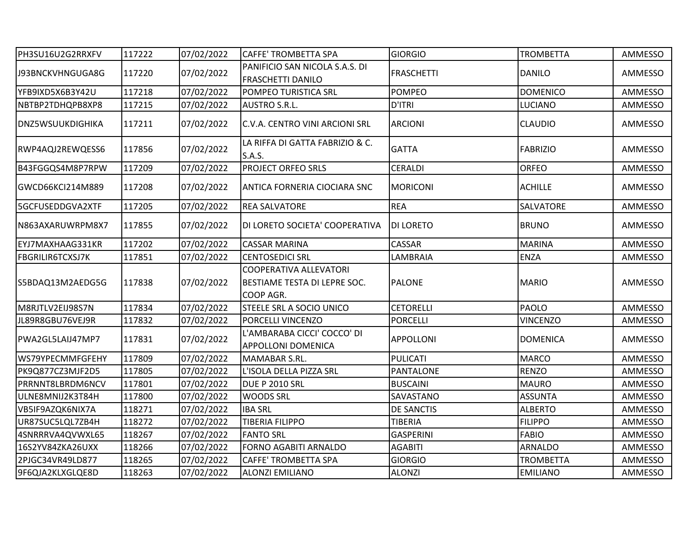| PH3SU16U2G2RRXFV        | 117222 | 07/02/2022 | <b>CAFFE' TROMBETTA SPA</b>                                         | <b>GIORGIO</b>    | <b>TROMBETTA</b> | AMMESSO |
|-------------------------|--------|------------|---------------------------------------------------------------------|-------------------|------------------|---------|
| J93BNCKVHNGUGA8G        | 117220 | 07/02/2022 | PANIFICIO SAN NICOLA S.A.S. DI<br><b>FRASCHETTI DANILO</b>          | <b>FRASCHETTI</b> | <b>DANILO</b>    | AMMESSO |
| YFB9IXD5X6B3Y42U        | 117218 | 07/02/2022 | POMPEO TURISTICA SRL                                                | <b>POMPEO</b>     | <b>DOMENICO</b>  | AMMESSO |
| NBTBP2TDHQPB8XP8        | 117215 | 07/02/2022 | AUSTRO S.R.L.                                                       | D'ITRI            | LUCIANO          | AMMESSO |
| <b>DNZ5WSUUKDIGHIKA</b> | 117211 | 07/02/2022 | C.V.A. CENTRO VINI ARCIONI SRL                                      | <b>ARCIONI</b>    | <b>CLAUDIO</b>   | AMMESSO |
| RWP4AQJ2REWQESS6        | 117856 | 07/02/2022 | LA RIFFA DI GATTA FABRIZIO & C.<br>S.A.S.                           | <b>GATTA</b>      | <b>FABRIZIO</b>  | AMMESSO |
| B43FGGQS4M8P7RPW        | 117209 | 07/02/2022 | <b>PROJECT ORFEO SRLS</b>                                           | <b>CERALDI</b>    | <b>ORFEO</b>     | AMMESSO |
| GWCD66KCl214M889        | 117208 | 07/02/2022 | ANTICA FORNERIA CIOCIARA SNC                                        | <b>MORICONI</b>   | <b>ACHILLE</b>   | AMMESSO |
| 5GCFUSEDDGVA2XTF        | 117205 | 07/02/2022 | <b>REA SALVATORE</b>                                                | <b>REA</b>        | SALVATORE        | AMMESSO |
| N863AXARUWRPM8X7        | 117855 | 07/02/2022 | DI LORETO SOCIETA' COOPERATIVA                                      | <b>DI LORETO</b>  | <b>BRUNO</b>     | AMMESSO |
| EYJ7MAXHAAG331KR        | 117202 | 07/02/2022 | <b>CASSAR MARINA</b>                                                | CASSAR            | <b>MARINA</b>    | AMMESSO |
| <b>FBGRILIR6TCXSJ7K</b> | 117851 | 07/02/2022 | <b>CENTOSEDICI SRL</b>                                              | LAMBRAIA          | <b>ENZA</b>      | AMMESSO |
| S5BDAQ13M2AEDG5G        | 117838 | 07/02/2022 | COOPERATIVA ALLEVATORI<br>BESTIAME TESTA DI LEPRE SOC.<br>COOP AGR. | <b>PALONE</b>     | <b>MARIO</b>     | AMMESSO |
| M8RJTLV2EIJ98S7N        | 117834 | 07/02/2022 | STEELE SRL A SOCIO UNICO                                            | <b>CETORELLI</b>  | PAOLO            | AMMESSO |
| JL89R8GBU76VEJ9R        | 117832 | 07/02/2022 | PORCELLI VINCENZO                                                   | <b>PORCELLI</b>   | <b>VINCENZO</b>  | AMMESSO |
| PWA2GL5LAIJ47MP7        | 117831 | 07/02/2022 | L'AMBARABA CICCI' COCCO' DI<br>APPOLLONI DOMENICA                   | <b>APPOLLONI</b>  | <b>DOMENICA</b>  | AMMESSO |
| WS79YPECMMFGFEHY        | 117809 | 07/02/2022 | MAMABAR S.RL.                                                       | PULICATI          | <b>MARCO</b>     | AMMESSO |
| PK9Q877CZ3MJF2D5        | 117805 | 07/02/2022 | L'ISOLA DELLA PIZZA SRL                                             | PANTALONE         | <b>RENZO</b>     | AMMESSO |
| PRRNNT8LBRDM6NCV        | 117801 | 07/02/2022 | <b>DUE P 2010 SRL</b>                                               | <b>BUSCAINI</b>   | <b>MAURO</b>     | AMMESSO |
| ULNE8MNIJ2K3T84H        | 117800 | 07/02/2022 | <b>WOODS SRL</b>                                                    | SAVASTANO         | <b>ASSUNTA</b>   | AMMESSO |
| VB5IF9AZQK6NIX7A        | 118271 | 07/02/2022 | <b>IBA SRL</b>                                                      | DE SANCTIS        | <b>ALBERTO</b>   | AMMESSO |
| UR87SUC5LQL7ZB4H        | 118272 | 07/02/2022 | <b>TIBERIA FILIPPO</b>                                              | <b>TIBERIA</b>    | <b>FILIPPO</b>   | AMMESSO |
| 4SNRRRVA4QVWXL65        | 118267 | 07/02/2022 | <b>FANTO SRL</b>                                                    | <b>GASPERINI</b>  | <b>FABIO</b>     | AMMESSO |
| 16S2YV84ZKA26UXX        | 118266 | 07/02/2022 | FORNO AGABITI ARNALDO                                               | <b>AGABITI</b>    | <b>ARNALDO</b>   | AMMESSO |
| 2PJGC34VR49LD877        | 118265 | 07/02/2022 | CAFFE' TROMBETTA SPA                                                | <b>GIORGIO</b>    | <b>TROMBETTA</b> | AMMESSO |
| 9F6QJA2KLXGLQE8D        | 118263 | 07/02/2022 | <b>ALONZI EMILIANO</b>                                              | <b>ALONZI</b>     | <b>EMILIANO</b>  | AMMESSO |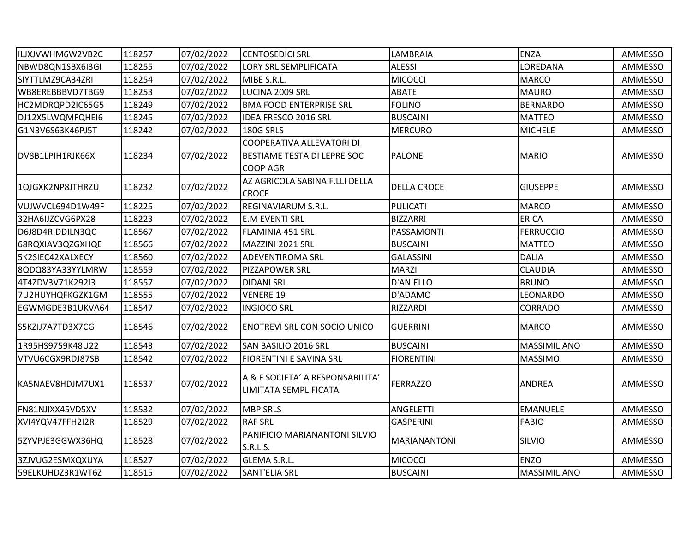| ILJXJVWHM6W2VB2C | 118257 | 07/02/2022 | <b>CENTOSEDICI SRL</b>                                                                    | LAMBRAIA            | ENZA             | AMMESSO |
|------------------|--------|------------|-------------------------------------------------------------------------------------------|---------------------|------------------|---------|
| NBWD8QN1SBX6I3GI | 118255 | 07/02/2022 | <b>LORY SRL SEMPLIFICATA</b>                                                              | <b>ALESSI</b>       | LOREDANA         | AMMESSO |
| SIYTTLMZ9CA34ZRI | 118254 | 07/02/2022 | MIBE S.R.L.                                                                               | <b>MICOCCI</b>      | <b>MARCO</b>     | AMMESSO |
| WB8EREBBBVD7TBG9 | 118253 | 07/02/2022 | LUCINA 2009 SRL                                                                           | ABATE               | <b>MAURO</b>     | AMMESSO |
| HC2MDRQPD2IC65G5 | 118249 | 07/02/2022 | <b>BMA FOOD ENTERPRISE SRL</b>                                                            | <b>FOLINO</b>       | <b>BERNARDO</b>  | AMMESSO |
| DJ12X5LWQMFQHEI6 | 118245 | 07/02/2022 | IDEA FRESCO 2016 SRL                                                                      | <b>BUSCAINI</b>     | <b>MATTEO</b>    | AMMESSO |
| G1N3V6S63K46PJ5T | 118242 | 07/02/2022 | 180G SRLS                                                                                 | <b>MERCURO</b>      | <b>MICHELE</b>   | AMMESSO |
| DV8B1LPIH1RJK66X | 118234 | 07/02/2022 | <b>COOPERATIVA ALLEVATORI DI</b><br><b>BESTIAME TESTA DI LEPRE SOC</b><br><b>COOP AGR</b> | <b>PALONE</b>       | <b>MARIO</b>     | AMMESSO |
| 1QJGXK2NP8JTHRZU | 118232 | 07/02/2022 | AZ AGRICOLA SABINA F.LLI DELLA<br><b>CROCE</b>                                            | <b>DELLA CROCE</b>  | <b>GIUSEPPE</b>  | AMMESSO |
| VUJWVCL694D1W49F | 118225 | 07/02/2022 | REGINAVIARUM S.R.L.                                                                       | PULICATI            | <b>MARCO</b>     | AMMESSO |
| 32HA6IJZCVG6PX28 | 118223 | 07/02/2022 | <b>E.M EVENTI SRL</b>                                                                     | <b>BIZZARRI</b>     | <b>ERICA</b>     | AMMESSO |
| D6J8D4RIDDILN3QC | 118567 | 07/02/2022 | <b>FLAMINIA 451 SRL</b>                                                                   | PASSAMONTI          | <b>FERRUCCIO</b> | AMMESSO |
| 68RQXIAV3QZGXHQE | 118566 | 07/02/2022 | MAZZINI 2021 SRL                                                                          | <b>BUSCAINI</b>     | <b>MATTEO</b>    | AMMESSO |
| 5K2SIEC42XALXECY | 118560 | 07/02/2022 | <b>ADEVENTIROMA SRL</b>                                                                   | <b>GALASSINI</b>    | <b>DALIA</b>     | AMMESSO |
| 8QDQ83YA33YYLMRW | 118559 | 07/02/2022 | PIZZAPOWER SRL                                                                            | <b>MARZI</b>        | <b>CLAUDIA</b>   | AMMESSO |
| 4T4ZDV3V71K292I3 | 118557 | 07/02/2022 | <b>DIDANI SRL</b>                                                                         | D'ANIELLO           | <b>BRUNO</b>     | AMMESSO |
| 7U2HUYHQFKGZK1GM | 118555 | 07/02/2022 | <b>VENERE 19</b>                                                                          | D'ADAMO             | LEONARDO         | AMMESSO |
| EGWMGDE3B1UKVA64 | 118547 | 07/02/2022 | <b>INGIOCO SRL</b>                                                                        | RIZZARDI            | <b>CORRADO</b>   | AMMESSO |
| S5KZIJ7A7TD3X7CG | 118546 | 07/02/2022 | <b>ENOTREVI SRL CON SOCIO UNICO</b>                                                       | <b>GUERRINI</b>     | <b>MARCO</b>     | AMMESSO |
| 1R95HS9759K48U22 | 118543 | 07/02/2022 | SAN BASILIO 2016 SRL                                                                      | <b>BUSCAINI</b>     | MASSIMILIANO     | AMMESSO |
| VTVU6CGX9RDJ87SB | 118542 | 07/02/2022 | <b>FIORENTINI E SAVINA SRL</b>                                                            | <b>FIORENTINI</b>   | <b>MASSIMO</b>   | AMMESSO |
| KA5NAEV8HDJM7UX1 | 118537 | 07/02/2022 | A & F SOCIETA' A RESPONSABILITA'<br>LIMITATA SEMPLIFICATA                                 | <b>FERRAZZO</b>     | <b>ANDREA</b>    | AMMESSO |
| FN81NJIXX45VD5XV | 118532 | 07/02/2022 | <b>MBP SRLS</b>                                                                           | <b>ANGELETTI</b>    | <b>EMANUELE</b>  | AMMESSO |
| XVI4YQV47FFH2I2R | 118529 | 07/02/2022 | <b>RAF SRL</b>                                                                            | <b>GASPERINI</b>    | <b>FABIO</b>     | AMMESSO |
| 5ZYVPJE3GGWX36HQ | 118528 | 07/02/2022 | PANIFICIO MARIANANTONI SILVIO<br>S.R.L.S.                                                 | <b>MARIANANTONI</b> | SILVIO           | AMMESSO |
| 3ZJVUG2ESMXQXUYA | 118527 | 07/02/2022 | <b>GLEMA S.R.L.</b>                                                                       | <b>MICOCCI</b>      | <b>ENZO</b>      | AMMESSO |
| 59ELKUHDZ3R1WT6Z | 118515 | 07/02/2022 | SANT'ELIA SRL                                                                             | <b>BUSCAINI</b>     | MASSIMILIANO     | AMMESSO |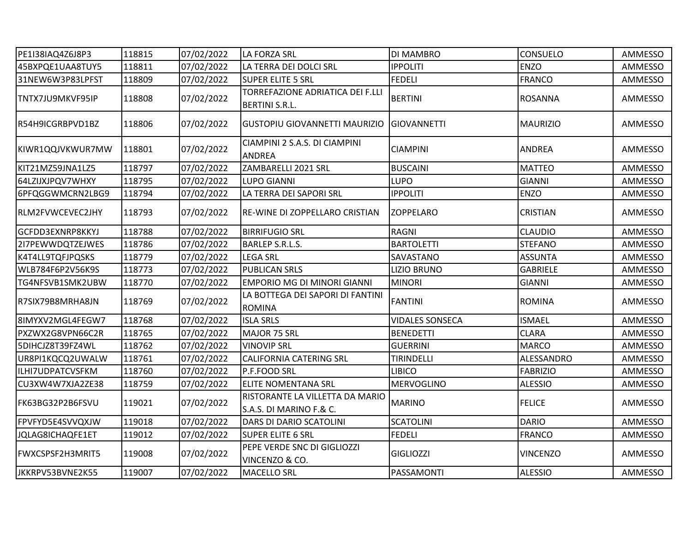| PE1I38IAQ4Z6J8P3 | 118815 | 07/02/2022 | LA FORZA SRL                                               | DI MAMBRO              | <b>CONSUELO</b> | AMMESSO |
|------------------|--------|------------|------------------------------------------------------------|------------------------|-----------------|---------|
| 45BXPQE1UAA8TUY5 | 118811 | 07/02/2022 | LA TERRA DEI DOLCI SRL                                     | <b>IPPOLITI</b>        | <b>ENZO</b>     | AMMESSO |
| 31NEW6W3P83LPFST | 118809 | 07/02/2022 | <b>SUPER ELITE 5 SRL</b>                                   | <b>FEDELI</b>          | <b>FRANCO</b>   | AMMESSO |
| TNTX7JU9MKVF95IP | 118808 | 07/02/2022 | TORREFAZIONE ADRIATICA DEI F.LLI<br><b>BERTINI S.R.L.</b>  | <b>BERTINI</b>         | <b>ROSANNA</b>  | AMMESSO |
| R54H9ICGRBPVD1BZ | 118806 | 07/02/2022 | <b>GUSTOPIU GIOVANNETTI MAURIZIO</b>                       | <b>GIOVANNETTI</b>     | <b>MAURIZIO</b> | AMMESSO |
| KIWR1QQJVKWUR7MW | 118801 | 07/02/2022 | CIAMPINI 2 S.A.S. DI CIAMPINI<br><b>ANDREA</b>             | <b>CIAMPINI</b>        | <b>ANDREA</b>   | AMMESSO |
| KIT21MZ59JNA1LZ5 | 118797 | 07/02/2022 | ZAMBARELLI 2021 SRL                                        | <b>BUSCAINI</b>        | <b>MATTEO</b>   | AMMESSO |
| 64LZIJXJPQV7WHXY | 118795 | 07/02/2022 | <b>LUPO GIANNI</b>                                         | <b>LUPO</b>            | <b>GIANNI</b>   | AMMESSO |
| 6PFQGGWMCRN2LBG9 | 118794 | 07/02/2022 | LA TERRA DEI SAPORI SRL                                    | <b>IPPOLITI</b>        | <b>ENZO</b>     | AMMESSO |
| RLM2FVWCEVEC2JHY | 118793 | 07/02/2022 | RE-WINE DI ZOPPELLARO CRISTIAN                             | <b>ZOPPELARO</b>       | CRISTIAN        | AMMESSO |
| GCFDD3EXNRP8KKYJ | 118788 | 07/02/2022 | <b>BIRRIFUGIO SRL</b>                                      | RAGNI                  | <b>CLAUDIO</b>  | AMMESSO |
| 217PEWWDQTZEJWES | 118786 | 07/02/2022 | <b>BARLEP S.R.L.S.</b>                                     | <b>BARTOLETTI</b>      | <b>STEFANO</b>  | AMMESSO |
| K4T4LL9TQFJPQSKS | 118779 | 07/02/2022 | <b>LEGA SRL</b>                                            | SAVASTANO              | <b>ASSUNTA</b>  | AMMESSO |
| WLB784F6P2V56K9S | 118773 | 07/02/2022 | <b>PUBLICAN SRLS</b>                                       | <b>LIZIO BRUNO</b>     | <b>GABRIELE</b> | AMMESSO |
| TG4NFSVB1SMK2UBW | 118770 | 07/02/2022 | EMPORIO MG DI MINORI GIANNI                                | <b>MINORI</b>          | <b>GIANNI</b>   | AMMESSO |
| R7SIX79B8MRHA8JN | 118769 | 07/02/2022 | LA BOTTEGA DEI SAPORI DI FANTINI<br><b>ROMINA</b>          | <b>FANTINI</b>         | <b>ROMINA</b>   | AMMESSO |
| 8IMYXV2MGL4FEGW7 | 118768 | 07/02/2022 | <b>ISLA SRLS</b>                                           | <b>VIDALES SONSECA</b> | <b>ISMAEL</b>   | AMMESSO |
| PXZWX2G8VPN66C2R | 118765 | 07/02/2022 | MAJOR 75 SRL                                               | <b>BENEDETTI</b>       | <b>CLARA</b>    | AMMESSO |
| 5DIHCJZ8T39FZ4WL | 118762 | 07/02/2022 | <b>VINOVIP SRL</b>                                         | <b>GUERRINI</b>        | <b>MARCO</b>    | AMMESSO |
| UR8PI1KQCQ2UWALW | 118761 | 07/02/2022 | <b>CALIFORNIA CATERING SRL</b>                             | TIRINDELLI             | ALESSANDRO      | AMMESSO |
| ILHI7UDPATCVSFKM | 118760 | 07/02/2022 | P.F.FOOD SRL                                               | <b>LIBICO</b>          | <b>FABRIZIO</b> | AMMESSO |
| CU3XW4W7XJA2ZE38 | 118759 | 07/02/2022 | ELITE NOMENTANA SRL                                        | MERVOGLINO             | <b>ALESSIO</b>  | AMMESSO |
| FK63BG32P2B6FSVU | 119021 | 07/02/2022 | RISTORANTE LA VILLETTA DA MARIO<br>S.A.S. DI MARINO F.& C. | <b>MARINO</b>          | <b>FELICE</b>   | AMMESSO |
| FPVFYD5E4SVVQXJW | 119018 | 07/02/2022 | DARS DI DARIO SCATOLINI                                    | <b>SCATOLINI</b>       | <b>DARIO</b>    | AMMESSO |
| JQLAG8ICHAQFE1ET | 119012 | 07/02/2022 | <b>SUPER ELITE 6 SRL</b>                                   | <b>FEDELI</b>          | <b>FRANCO</b>   | AMMESSO |
| FWXCSPSF2H3MRIT5 | 119008 | 07/02/2022 | PEPE VERDE SNC DI GIGLIOZZI<br>VINCENZO & CO.              | <b>GIGLIOZZI</b>       | <b>VINCENZO</b> | AMMESSO |
| JKKRPV53BVNE2K55 | 119007 | 07/02/2022 | <b>MACELLO SRL</b>                                         | PASSAMONTI             | <b>ALESSIO</b>  | AMMESSO |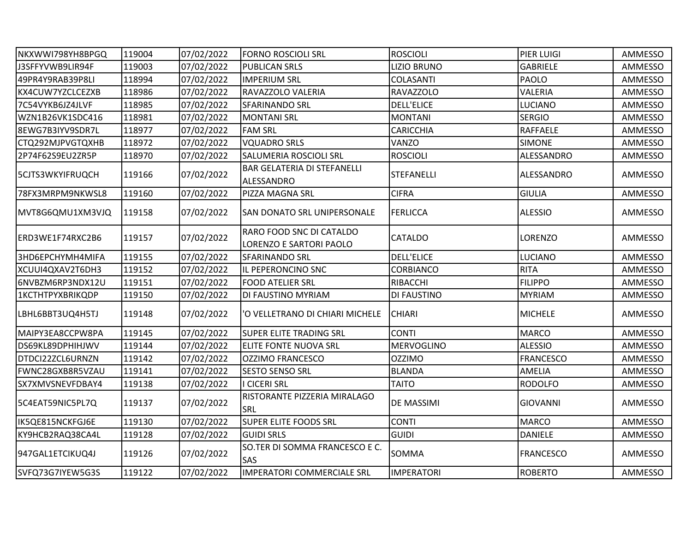| NKXWWI798YH8BPGQ | 119004 | 07/02/2022 | <b>FORNO ROSCIOLI SRL</b>                           | <b>ROSCIOLI</b>    | PIER LUIGI       | AMMESSO |
|------------------|--------|------------|-----------------------------------------------------|--------------------|------------------|---------|
| J3SFFYVWB9LIR94F | 119003 | 07/02/2022 | <b>PUBLICAN SRLS</b>                                | <b>LIZIO BRUNO</b> | <b>GABRIELE</b>  | AMMESSO |
| 49PR4Y9RAB39P8LI | 118994 | 07/02/2022 | <b>IMPERIUM SRL</b>                                 | COLASANTI          | PAOLO            | AMMESSO |
| KX4CUW7YZCLCEZXB | 118986 | 07/02/2022 | RAVAZZOLO VALERIA                                   | <b>RAVAZZOLO</b>   | <b>VALERIA</b>   | AMMESSO |
| 7C54VYKB6JZ4JLVF | 118985 | 07/02/2022 | SFARINANDO SRL                                      | <b>DELL'ELICE</b>  | LUCIANO          | AMMESSO |
| WZN1B26VK1SDC416 | 118981 | 07/02/2022 | <b>MONTANI SRL</b>                                  | <b>MONTANI</b>     | <b>SERGIO</b>    | AMMESSO |
| 8EWG7B3IYV9SDR7L | 118977 | 07/02/2022 | <b>FAM SRL</b>                                      | <b>CARICCHIA</b>   | <b>RAFFAELE</b>  | AMMESSO |
| CTQ292MJPVGTQXHB | 118972 | 07/02/2022 | <b>VQUADRO SRLS</b>                                 | VANZO              | <b>SIMONE</b>    | AMMESSO |
| 2P74F62S9EU2ZR5P | 118970 | 07/02/2022 | SALUMERIA ROSCIOLI SRL                              | <b>ROSCIOLI</b>    | ALESSANDRO       | AMMESSO |
| 5CJTS3WKYIFRUQCH | 119166 | 07/02/2022 | <b>BAR GELATERIA DI STEFANELLI</b><br>ALESSANDRO    | <b>STEFANELLI</b>  | ALESSANDRO       | AMMESSO |
| 78FX3MRPM9NKWSL8 | 119160 | 07/02/2022 | PIZZA MAGNA SRL                                     | <b>CIFRA</b>       | <b>GIULIA</b>    | AMMESSO |
| MVT8G6QMU1XM3VJQ | 119158 | 07/02/2022 | <b>SAN DONATO SRL UNIPERSONALE</b>                  | <b>FERLICCA</b>    | <b>ALESSIO</b>   | AMMESSO |
| ERD3WE1F74RXC2B6 | 119157 | 07/02/2022 | RARO FOOD SNC DI CATALDO<br>LORENZO E SARTORI PAOLO | CATALDO            | LORENZO          | AMMESSO |
| 3HD6EPCHYMH4MIFA | 119155 | 07/02/2022 | SFARINANDO SRL                                      | <b>DELL'ELICE</b>  | <b>LUCIANO</b>   | AMMESSO |
| XCUUI4QXAV2T6DH3 | 119152 | 07/02/2022 | IL PEPERONCINO SNC                                  | CORBIANCO          | <b>RITA</b>      | AMMESSO |
| 6NVBZM6RP3NDX12U | 119151 | 07/02/2022 | <b>FOOD ATELIER SRL</b>                             | RIBACCHI           | <b>FILIPPO</b>   | AMMESSO |
| 1KCTHTPYXBRIKQDP | 119150 | 07/02/2022 | DI FAUSTINO MYRIAM                                  | DI FAUSTINO        | <b>MYRIAM</b>    | AMMESSO |
| LBHL6BBT3UQ4H5TJ | 119148 | 07/02/2022 | 'O VELLETRANO DI CHIARI MICHELE                     | <b>CHIARI</b>      | <b>MICHELE</b>   | AMMESSO |
| MAIPY3EA8CCPW8PA | 119145 | 07/02/2022 | SUPER ELITE TRADING SRL                             | <b>CONTI</b>       | <b>MARCO</b>     | AMMESSO |
| DS69KL89DPHIHJWV | 119144 | 07/02/2022 | ELITE FONTE NUOVA SRL                               | <b>MERVOGLINO</b>  | <b>ALESSIO</b>   | AMMESSO |
| DTDCI22ZCL6URNZN | 119142 | 07/02/2022 | <b>OZZIMO FRANCESCO</b>                             | <b>OZZIMO</b>      | <b>FRANCESCO</b> | AMMESSO |
| FWNC28GXB8R5VZAU | 119141 | 07/02/2022 | <b>SESTO SENSO SRL</b>                              | <b>BLANDA</b>      | <b>AMELIA</b>    | AMMESSO |
| SX7XMVSNEVFDBAY4 | 119138 | 07/02/2022 | <b>I CICERI SRL</b>                                 | <b>TAITO</b>       | <b>RODOLFO</b>   | AMMESSO |
| 5C4EAT59NIC5PL7Q | 119137 | 07/02/2022 | RISTORANTE PIZZERIA MIRALAGO<br>SRL                 | DE MASSIMI         | <b>GIOVANNI</b>  | AMMESSO |
| IK5QE815NCKFGJ6E | 119130 | 07/02/2022 | <b>SUPER ELITE FOODS SRL</b>                        | <b>CONTI</b>       | <b>MARCO</b>     | AMMESSO |
| KY9HCB2RAQ38CA4L | 119128 | 07/02/2022 | <b>GUIDI SRLS</b>                                   | <b>GUIDI</b>       | <b>DANIELE</b>   | AMMESSO |
| 947GAL1ETCIKUQ4J | 119126 | 07/02/2022 | SO.TER DI SOMMA FRANCESCO E C.<br>SAS               | SOMMA              | <b>FRANCESCO</b> | AMMESSO |
| SVFQ73G7IYEW5G3S | 119122 | 07/02/2022 | <b>IMPERATORI COMMERCIALE SRL</b>                   | <b>IMPERATORI</b>  | <b>ROBERTO</b>   | AMMESSO |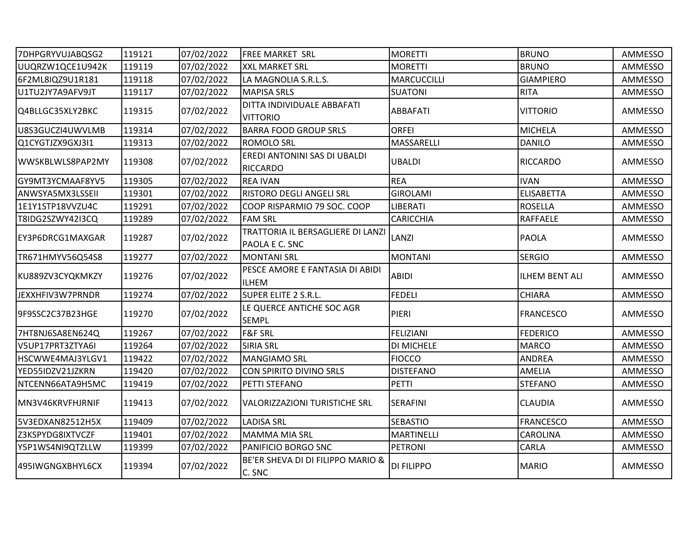| 7DHPGRYVUJABQSG2 | 119121 | 07/02/2022 | <b>FREE MARKET SRL</b>                                 | <b>MORETTI</b>    | <b>BRUNO</b>          | AMMESSO |
|------------------|--------|------------|--------------------------------------------------------|-------------------|-----------------------|---------|
| UUQRZW1QCE1U942K | 119119 | 07/02/2022 | <b>XXL MARKET SRL</b>                                  | <b>MORETTI</b>    | <b>BRUNO</b>          | AMMESSO |
| 6F2ML8IQZ9U1R181 | 119118 | 07/02/2022 | LA MAGNOLIA S.R.L.S.                                   | MARCUCCILLI       | <b>GIAMPIERO</b>      | AMMESSO |
| U1TU2JY7A9AFV9JT | 119117 | 07/02/2022 | <b>MAPISA SRLS</b>                                     | <b>SUATONI</b>    | <b>RITA</b>           | AMMESSO |
| Q4BLLGC35XLY2BKC | 119315 | 07/02/2022 | DITTA INDIVIDUALE ABBAFATI<br><b>VITTORIO</b>          | <b>ABBAFATI</b>   | <b>VITTORIO</b>       | AMMESSO |
| U8S3GUCZI4UWVLMB | 119314 | 07/02/2022 | <b>BARRA FOOD GROUP SRLS</b>                           | <b>ORFEI</b>      | <b>MICHELA</b>        | AMMESSO |
| Q1CYGTJZX9GXJ3I1 | 119313 | 07/02/2022 | <b>ROMOLO SRL</b>                                      | MASSARELLI        | <b>DANILO</b>         | AMMESSO |
| WWSKBLWLS8PAP2MY | 119308 | 07/02/2022 | EREDI ANTONINI SAS DI UBALDI<br><b>RICCARDO</b>        | <b>UBALDI</b>     | <b>RICCARDO</b>       | AMMESSO |
| GY9MT3YCMAAF8YV5 | 119305 | 07/02/2022 | <b>REA IVAN</b>                                        | <b>REA</b>        | <b>IVAN</b>           | AMMESSO |
| ANWSYA5MX3LSSEII | 119301 | 07/02/2022 | <b>RISTORO DEGLI ANGELI SRL</b>                        | <b>GIROLAMI</b>   | <b>ELISABETTA</b>     | AMMESSO |
| 1E1Y1STP18VVZU4C | 119291 | 07/02/2022 | COOP RISPARMIO 79 SOC. COOP                            | <b>LIBERATI</b>   | <b>ROSELLA</b>        | AMMESSO |
| T8IDG2SZWY42I3CQ | 119289 | 07/02/2022 | <b>FAM SRL</b>                                         | <b>CARICCHIA</b>  | <b>RAFFAELE</b>       | AMMESSO |
| EY3P6DRCG1MAXGAR | 119287 | 07/02/2022 | TRATTORIA IL BERSAGLIERE DI LANZI<br>PAOLA E C. SNC    | LANZI             | <b>PAOLA</b>          | AMMESSO |
| TR671HMYV56Q54S8 | 119277 | 07/02/2022 | <b>MONTANI SRL</b>                                     | <b>MONTANI</b>    | <b>SERGIO</b>         | AMMESSO |
| KU889ZV3CYQKMKZY | 119276 | 07/02/2022 | PESCE AMORE E FANTASIA DI ABIDI<br><b>ILHEM</b>        | <b>ABIDI</b>      | <b>ILHEM BENT ALI</b> | AMMESSO |
| JEXXHFIV3W7PRNDR | 119274 | 07/02/2022 | SUPER ELITE 2 S.R.L.                                   | <b>FEDELI</b>     | <b>CHIARA</b>         | AMMESSO |
| 9F9SSC2C37B23HGE | 119270 | 07/02/2022 | LE QUERCE ANTICHE SOC AGR<br><b>SEMPL</b>              | PIERI             | <b>FRANCESCO</b>      | AMMESSO |
| 7HT8NJ6SA8EN624Q | 119267 | 07/02/2022 | <b>F&amp;F SRL</b>                                     | <b>FELIZIANI</b>  | <b>FEDERICO</b>       | AMMESSO |
| V5UP17PRT3ZTYA6I | 119264 | 07/02/2022 | <b>SIRIA SRL</b>                                       | DI MICHELE        | <b>MARCO</b>          | AMMESSO |
| HSCWWE4MAJ3YLGV1 | 119422 | 07/02/2022 | <b>MANGIAMO SRL</b>                                    | <b>FIOCCO</b>     | <b>ANDREA</b>         | AMMESSO |
| YED55IDZV21JZKRN | 119420 | 07/02/2022 | CON SPIRITO DIVINO SRLS                                | <b>DISTEFANO</b>  | AMELIA                | AMMESSO |
| NTCENN66ATA9H5MC | 119419 | 07/02/2022 | PETTI STEFANO                                          | PETTI             | <b>STEFANO</b>        | AMMESSO |
| MN3V46KRVFHJRNIF | 119413 | 07/02/2022 | <b>VALORIZZAZIONI TURISTICHE SRL</b>                   | <b>SERAFINI</b>   | <b>CLAUDIA</b>        | AMMESSO |
| 5V3EDXAN82512H5X | 119409 | 07/02/2022 | <b>LADISA SRL</b>                                      | <b>SEBASTIO</b>   | <b>FRANCESCO</b>      | AMMESSO |
| Z3KSPYDG8IXTVCZF | 119401 | 07/02/2022 | <b>MAMMA MIA SRL</b>                                   | <b>MARTINELLI</b> | <b>CAROLINA</b>       | AMMESSO |
| Y5P1WS4NI9QTZLLW | 119399 | 07/02/2022 | PANIFICIO BORGO SNC                                    | <b>PETRONI</b>    | CARLA                 | AMMESSO |
| 495IWGNGXBHYL6CX | 119394 | 07/02/2022 | <b>BE'ER SHEVA DI DI FILIPPO MARIO &amp;</b><br>C. SNC | <b>DI FILIPPO</b> | <b>MARIO</b>          | AMMESSO |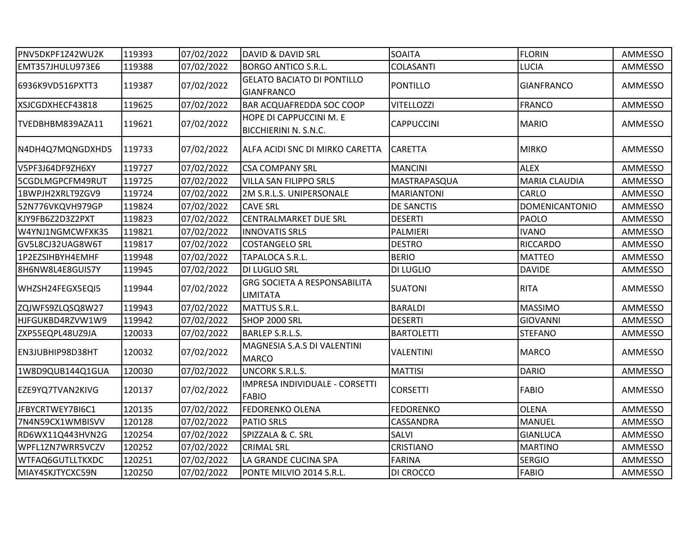| PNV5DKPF1Z42WU2K | 119393 | 07/02/2022 | <b>DAVID &amp; DAVID SRL</b>                           | <b>SOAITA</b>     | <b>FLORIN</b>         | AMMESSO |
|------------------|--------|------------|--------------------------------------------------------|-------------------|-----------------------|---------|
| EMT357JHULU973E6 | 119388 | 07/02/2022 | <b>BORGO ANTICO S.R.L.</b>                             | <b>COLASANTI</b>  | <b>LUCIA</b>          | AMMESSO |
| 6936K9VD516PXTT3 | 119387 | 07/02/2022 | <b>GELATO BACIATO DI PONTILLO</b><br><b>GIANFRANCO</b> | <b>PONTILLO</b>   | <b>GIANFRANCO</b>     | AMMESSO |
| XSJCGDXHECF43818 | 119625 | 07/02/2022 | BAR ACQUAFREDDA SOC COOP                               | <b>VITELLOZZI</b> | <b>FRANCO</b>         | AMMESSO |
| TVEDBHBM839AZA11 | 119621 | 07/02/2022 | HOPE DI CAPPUCCINI M. E<br>BICCHIERINI N. S.N.C.       | <b>CAPPUCCINI</b> | <b>MARIO</b>          | AMMESSO |
| N4DH4Q7MQNGDXHD5 | 119733 | 07/02/2022 | ALFA ACIDI SNC DI MIRKO CARETTA                        | <b>CARETTA</b>    | <b>MIRKO</b>          | AMMESSO |
| V5PF3J64DF9ZH6XY | 119727 | 07/02/2022 | <b>CSA COMPANY SRL</b>                                 | <b>MANCINI</b>    | <b>ALEX</b>           | AMMESSO |
| 5CGDLMGPCFM49RUT | 119725 | 07/02/2022 | VILLA SAN FILIPPO SRLS                                 | MASTRAPASQUA      | <b>MARIA CLAUDIA</b>  | AMMESSO |
| 1BWPJH2XRLT9ZGV9 | 119724 | 07/02/2022 | 2M S.R.L.S. UNIPERSONALE                               | <b>MARIANTONI</b> | <b>CARLO</b>          | AMMESSO |
| 52N776VKQVH979GP | 119824 | 07/02/2022 | <b>CAVE SRL</b>                                        | DE SANCTIS        | <b>DOMENICANTONIO</b> | AMMESSO |
| KJY9FB6Z2D3Z2PXT | 119823 | 07/02/2022 | <b>CENTRALMARKET DUE SRL</b>                           | <b>DESERTI</b>    | PAOLO                 | AMMESSO |
| W4YNJ1NGMCWFXK3S | 119821 | 07/02/2022 | <b>INNOVATIS SRLS</b>                                  | PALMIERI          | <b>IVANO</b>          | AMMESSO |
| GV5L8CJ32UAG8W6T | 119817 | 07/02/2022 | <b>COSTANGELO SRL</b>                                  | <b>DESTRO</b>     | <b>RICCARDO</b>       | AMMESSO |
| 1P2EZSIHBYH4EMHF | 119948 | 07/02/2022 | TAPALOCA S.R.L.                                        | <b>BERIO</b>      | <b>MATTEO</b>         | AMMESSO |
| 8H6NW8L4E8GUIS7Y | 119945 | 07/02/2022 | DI LUGLIO SRL                                          | <b>DI LUGLIO</b>  | <b>DAVIDE</b>         | AMMESSO |
| WHZSH24FEGX5EQI5 | 119944 | 07/02/2022 | <b>GRG SOCIETA A RESPONSABILITA</b><br><b>LIMITATA</b> | <b>SUATONI</b>    | <b>RITA</b>           | AMMESSO |
| ZQJWFS9ZLQSQ8W27 | 119943 | 07/02/2022 | MATTUS S.R.L.                                          | <b>BARALDI</b>    | <b>MASSIMO</b>        | AMMESSO |
| HJFGUKBD4RZVW1W9 | 119942 | 07/02/2022 | SHOP 2000 SRL                                          | <b>DESERTI</b>    | <b>GIOVANNI</b>       | AMMESSO |
| ZXP55EQPL48UZ9JA | 120033 | 07/02/2022 | <b>BARLEP S.R.L.S.</b>                                 | <b>BARTOLETTI</b> | <b>STEFANO</b>        | AMMESSO |
| EN3JUBHIP98D38HT | 120032 | 07/02/2022 | MAGNESIA S.A.S DI VALENTINI<br><b>MARCO</b>            | <b>VALENTINI</b>  | <b>MARCO</b>          | AMMESSO |
| 1W8D9QUB144Q1GUA | 120030 | 07/02/2022 | UNCORK S.R.L.S.                                        | <b>MATTISI</b>    | <b>DARIO</b>          | AMMESSO |
| EZE9YQ7TVAN2KIVG | 120137 | 07/02/2022 | IMPRESA INDIVIDUALE - CORSETTI<br><b>FABIO</b>         | <b>CORSETTI</b>   | <b>FABIO</b>          | AMMESSO |
| JFBYCRTWEY7BI6C1 | 120135 | 07/02/2022 | FEDORENKO OLENA                                        | <b>FEDORENKO</b>  | <b>OLENA</b>          | AMMESSO |
| 7N4N59CX1WMBISVV | 120128 | 07/02/2022 | <b>PATIO SRLS</b>                                      | CASSANDRA         | <b>MANUEL</b>         | AMMESSO |
| RD6WX11Q443HVN2G | 120254 | 07/02/2022 | SPIZZALA & C. SRL                                      | SALVI             | <b>GIANLUCA</b>       | AMMESSO |
| WPFL1ZN7WRR5VCZV | 120252 | 07/02/2022 | <b>CRIMAL SRL</b>                                      | CRISTIANO         | <b>MARTINO</b>        | AMMESSO |
| WTFAQ6GUTLLTKXDC | 120251 | 07/02/2022 | LA GRANDE CUCINA SPA                                   | <b>FARINA</b>     | <b>SERGIO</b>         | AMMESSO |
| MIAY4SKJTYCXC59N | 120250 | 07/02/2022 | PONTE MILVIO 2014 S.R.L.                               | <b>DI CROCCO</b>  | <b>FABIO</b>          | AMMESSO |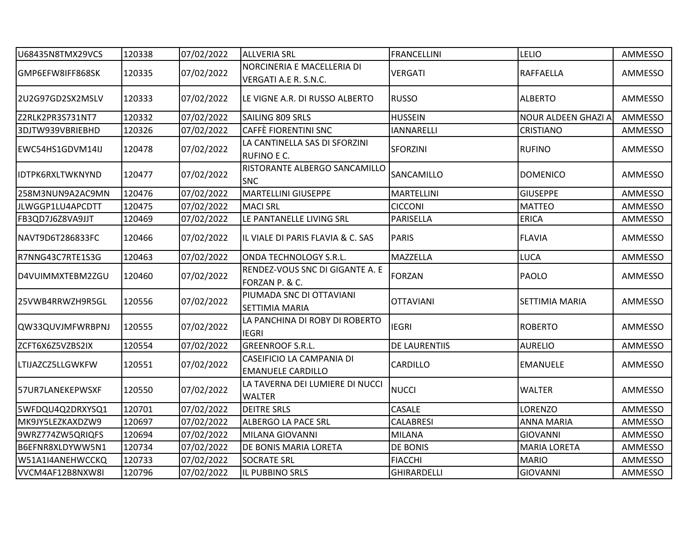| U68435N8TMX29VCS        | 120338 | 07/02/2022 | <b>ALLVERIA SRL</b>                                   | <b>FRANCELLINI</b> | <b>LELIO</b>          | AMMESSO |
|-------------------------|--------|------------|-------------------------------------------------------|--------------------|-----------------------|---------|
| GMP6EFW8IFF868SK        | 120335 | 07/02/2022 | NORCINERIA E MACELLERIA DI<br>VERGATI A.E R. S.N.C.   | <b>VERGATI</b>     | <b>RAFFAELLA</b>      | AMMESSO |
| 2U2G97GD2SX2MSLV        | 120333 | 07/02/2022 | LE VIGNE A.R. DI RUSSO ALBERTO                        | <b>RUSSO</b>       | <b>ALBERTO</b>        | AMMESSO |
| Z2RLK2PR3S731NT7        | 120332 | 07/02/2022 | SAILING 809 SRLS                                      | <b>HUSSEIN</b>     | NOUR ALDEEN GHAZI A   | AMMESSO |
| 3DJTW939VBRIEBHD        | 120326 | 07/02/2022 | CAFFÈ FIORENTINI SNC                                  | <b>IANNARELLI</b>  | <b>CRISTIANO</b>      | AMMESSO |
| EWC54HS1GDVM14IJ        | 120478 | 07/02/2022 | LA CANTINELLA SAS DI SFORZINI<br>RUFINO E C.          | SFORZINI           | <b>RUFINO</b>         | AMMESSO |
| <b>IDTPK6RXLTWKNYND</b> | 120477 | 07/02/2022 | RISTORANTE ALBERGO SANCAMILLO<br><b>SNC</b>           | SANCAMILLO         | <b>DOMENICO</b>       | AMMESSO |
| 258M3NUN9A2AC9MN        | 120476 | 07/02/2022 | <b>MARTELLINI GIUSEPPE</b>                            | <b>MARTELLINI</b>  | <b>GIUSEPPE</b>       | AMMESSO |
| JLWGGP1LU4APCDTT        | 120475 | 07/02/2022 | <b>MACI SRL</b>                                       | <b>CICCONI</b>     | <b>MATTEO</b>         | AMMESSO |
| FB3QD7J6Z8VA9JJT        | 120469 | 07/02/2022 | LE PANTANELLE LIVING SRL                              | PARISELLA          | <b>ERICA</b>          | AMMESSO |
| NAVT9D6T286833FC        | 120466 | 07/02/2022 | IL VIALE DI PARIS FLAVIA & C. SAS                     | <b>PARIS</b>       | <b>FLAVIA</b>         | AMMESSO |
| R7NNG43C7RTE1S3G        | 120463 | 07/02/2022 | ONDA TECHNOLOGY S.R.L.                                | MAZZELLA           | <b>LUCA</b>           | AMMESSO |
| D4VUIMMXTEBM2ZGU        | 120460 | 07/02/2022 | RENDEZ-VOUS SNC DI GIGANTE A. E<br>FORZAN P. & C.     | <b>FORZAN</b>      | PAOLO                 | AMMESSO |
| 25VWB4RRWZH9R5GL        | 120556 | 07/02/2022 | PIUMADA SNC DI OTTAVIANI<br>SETTIMIA MARIA            | <b>OTTAVIANI</b>   | <b>SETTIMIA MARIA</b> | AMMESSO |
| QW33QUVJMFWRBPNJ        | 120555 | 07/02/2022 | LA PANCHINA DI ROBY DI ROBERTO<br><b>IEGRI</b>        | <b>IEGRI</b>       | <b>ROBERTO</b>        | AMMESSO |
| ZCFT6X6Z5VZBS2IX        | 120554 | 07/02/2022 | <b>GREENROOF S.R.L.</b>                               | DE LAURENTIIS      | <b>AURELIO</b>        | AMMESSO |
| LTIJAZCZ5LLGWKFW        | 120551 | 07/02/2022 | CASEIFICIO LA CAMPANIA DI<br><b>EMANUELE CARDILLO</b> | CARDILLO           | <b>EMANUELE</b>       | AMMESSO |
| 57UR7LANEKEPWSXF        | 120550 | 07/02/2022 | LA TAVERNA DEI LUMIERE DI NUCCI<br><b>WALTER</b>      | <b>NUCCI</b>       | <b>WALTER</b>         | AMMESSO |
| 5WFDQU4Q2DRXYSQ1        | 120701 | 07/02/2022 | <b>DEITRE SRLS</b>                                    | CASALE             | <b>LORENZO</b>        | AMMESSO |
| MK9JY5LEZKAXDZW9        | 120697 | 07/02/2022 | ALBERGO LA PACE SRL                                   | <b>CALABRESI</b>   | <b>ANNA MARIA</b>     | AMMESSO |
| 9WRZ774ZW5QRIQFS        | 120694 | 07/02/2022 | MILANA GIOVANNI                                       | <b>MILANA</b>      | <b>GIOVANNI</b>       | AMMESSO |
| B6EFNR8XLDYWW5N1        | 120734 | 07/02/2022 | DE BONIS MARIA LORETA                                 | <b>DE BONIS</b>    | <b>MARIA LORETA</b>   | AMMESSO |
| W51A1I4ANEHWCCKQ        | 120733 | 07/02/2022 | <b>SOCRATE SRL</b>                                    | <b>FIACCHI</b>     | <b>MARIO</b>          | AMMESSO |
| VVCM4AF12B8NXW8I        | 120796 | 07/02/2022 | IL PUBBINO SRLS                                       | GHIRARDELLI        | <b>GIOVANNI</b>       | AMMESSO |